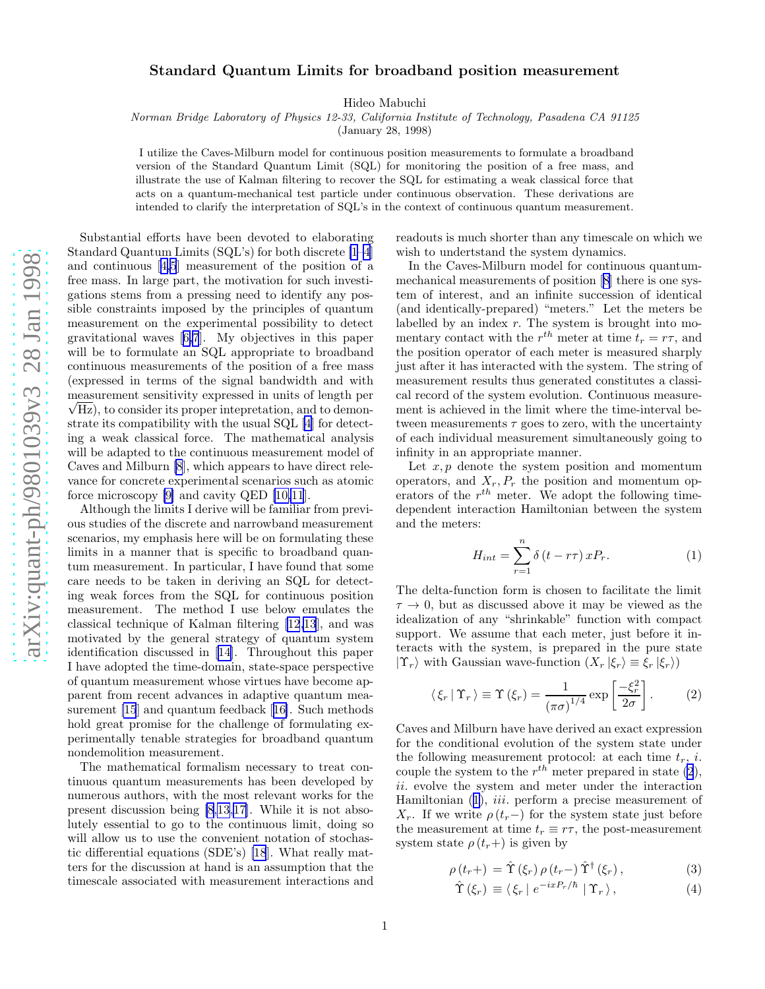## <span id="page-0-0"></span>Standard Quantum Limits for broadband position measuremen t

Hideo Mabuchi

Norman Bridge Laboratory of Physics 12-33, California Institute of Technology, Pasadena CA 91125

(January 28, 1998)

I utilize the Caves-Milburn model for continuous position measurements to formulate a broadband version of the Standard Quantum Limit (SQL) for monitoring the position of a free mass, and illustrate the use of Kalman filtering to recover the SQL for estimating a weak classical force that acts on a quantum-mechanical test particle under continuous observation. These derivations are intended to clarify the interpretation of SQL's in the context of continuous quantum measurement.

Substantial efforts have been devoted to elaborating Standard Quantum Limits (SQL's) for both discrete [\[1–4](#page-3-0)] and continuous[[4,5](#page-3-0)] measurement of the position of a free mass. In large part, the motivation for such investigations stems from a pressing need to identify any possible constraints imposed by the principles of quantum measurement on the experimental possibility to detect gravitational waves[[6,7](#page-3-0)]. My objectives in this paper will be to formulate an SQL appropriate to broadband continuous measurements of the position of a free mass (expressed in terms of the signal bandwidth and with measurement sensitivity expressed in units of length per  $\sqrt{Hz}$ , to consider its proper intepretation, and to demonstrate its compatibility with the usual SQL [\[4](#page-3-0)] for detecting a weak classical force. The mathematical analysis will be adapted to the continuous measurement model of Caves and Milburn [\[8](#page-3-0)], which appears to have direct relevance for concrete experimental scenarios such as atomic force microscopy [\[9\]](#page-3-0) and cavity QED [\[10,11](#page-3-0)].

Although the limits I derive will be familiar from previous studies of the discrete and narrowband measurement scenarios, my emphasis here will be on formulating these limits in a manner that is specific to broadband quantum measurement. In particular, I have found that some care needs to be taken in deriving an SQL for detecting weak forces from the SQL for continuous position measurement. The method I use below emulates the classical technique of Kalman filtering [\[12,13](#page-3-0)], and was motivated by the general strategy of quantum system identification discussed in[[14\]](#page-3-0). Throughout this paper I have adopted the time-domain, state-space perspective of quantum measurement whose virtues have become apparent from recent advances in adaptive quantum measurement [\[15](#page-3-0)] and quantum feedback[[16\]](#page-3-0). Such methods hold great promise for the challenge of formulating experimentally tenable strategies for broadband quantum nondemolition measurement.

The mathematical formalism necessary to treat continuous quantum measurements has been developed by numerous authors, with the most relevant works for the present discussion being [\[8](#page-3-0),[13](#page-3-0),[17\]](#page-3-0). While it is not absolutely essential to go to the continuous limit, doing so will allow us to use the convenient notation of stochastic differential equations (SDE's) [\[18](#page-4-0)]. What really matters for the discussion at hand is an assumption that the timescale associated with measurement interactions and readouts is much shorter than any timescale on which we wish to undertstand the system dynamics.

In the Caves-Milburn model for continuous quantummechanical measurements of position[[8\]](#page-3-0) there is one system of interest, and an infinite succession of identical (and identically-prepared) "meters." Let the meters be labelled by an index  $r$ . The system is brought into momentary contact with the  $r^{th}$  meter at time  $t_r = r\tau$ , and the position operator of each meter is measured sharply just after it has interacted with the system. The string of measurement results thus generated constitutes a classical record of the system evolution. Continuous measurement is achieved in the limit where the time-interval between measurements  $\tau$  goes to zero, with the uncertainty of each individual measurement simultaneously going to infinity in an appropriate manner.

Let  $x, p$  denote the system position and momentum operators, and  $X_r$ ,  $P_r$  the position and momentum operators of the  $r^{th}$  meter. We adopt the following timedependent interaction Hamiltonian between the system and the meters:

$$
H_{int} = \sum_{r=1}^{n} \delta(t - r\tau) x P_r.
$$
 (1)

The delta-function form is chosen to facilitate the limit  $\tau \to 0$ , but as discussed above it may be viewed as the idealization of any "shrinkable" function with compact support. We assume that each meter, just before it interacts with the system, is prepared in the pure state  $|\Upsilon_r\rangle$  with Gaussian wave-function  $(X_r|\xi_r) \equiv \xi_r |\xi_r\rangle$ 

$$
\langle \xi_r | \Upsilon_r \rangle \equiv \Upsilon(\xi_r) = \frac{1}{(\pi \sigma)^{1/4}} \exp\left[\frac{-\xi_r^2}{2\sigma}\right].
$$
 (2)

Caves and Milburn have have derived an exact expression for the conditional evolution of the system state under the following measurement protocol: at each time  $t_r$ , *i*. couple the system to the  $r^{th}$  meter prepared in state (2), ii. evolve the system and meter under the interaction Hamiltonian (1), *iii.* perform a precise measurement of  $X_r$ . If we write  $\rho(t_r-)$  for the system state just before the measurement at time  $t_r \equiv r\tau$ , the post-measurement system state  $\rho(t_r+)$  is given by

$$
\rho(t_r+) = \hat{\Upsilon}(\xi_r) \rho(t_r-) \hat{\Upsilon}^{\dagger}(\xi_r), \qquad (3)
$$

$$
\hat{\Upsilon}(\xi_r) \equiv \langle \xi_r | e^{-ixP_r/\hbar} | \Upsilon_r \rangle, \qquad (4)
$$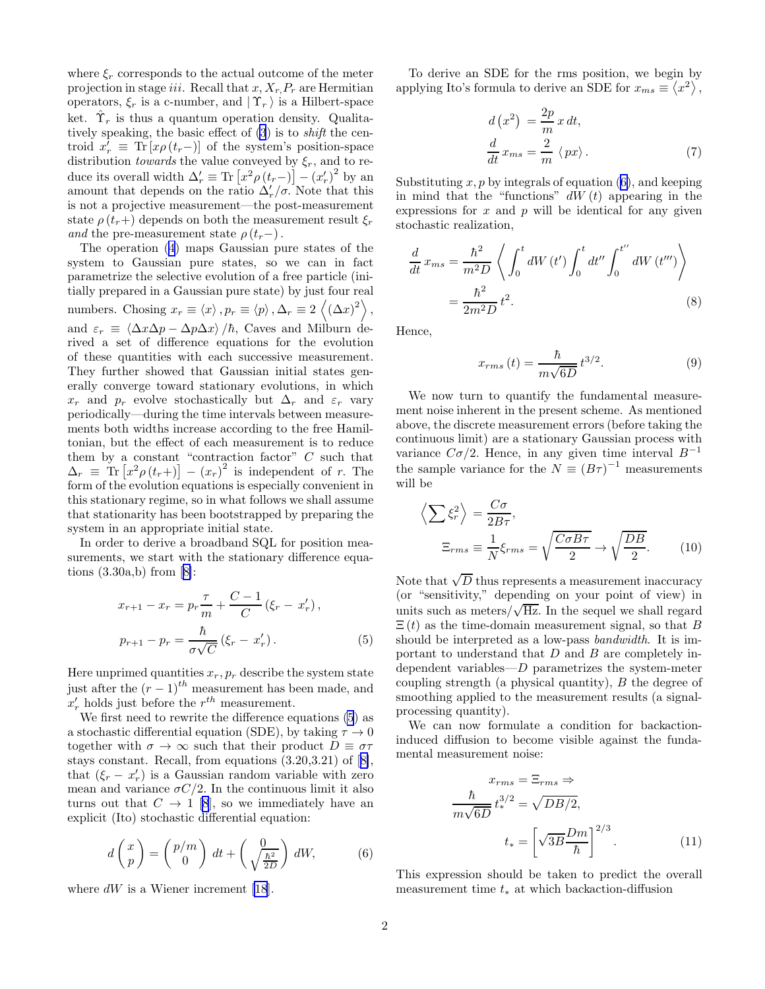<span id="page-1-0"></span>where  $\xi_r$  corresponds to the actual outcome of the meter projection in stage *iii*. Recall that  $x, X_r, P_r$  are Hermitian operators,  $\xi_r$  is a c-number, and  $|\Upsilon_r\rangle$  is a Hilbert-space ket.  $\hat{\Upsilon}_r$  is thus a quantum operation density. Qualitatively speaking, the basic effect of [\(3](#page-0-0)) is to shift the centroid  $x'_r \equiv \text{Tr} [x \rho (t_r-) ]$  of the system's position-space distribution *towards* the value conveyed by  $\xi_r$ , and to reduce its overall width  $\Delta'_r \equiv \text{Tr} \left[ x^2 \rho \left( t_r - \right) \right] - \left( x'_r \right)^2$  by an amount that depends on the ratio  $\Delta'_r/\sigma$ . Note that this is not a projective measurement—the post-measurement state  $\rho(t_r+)$  depends on both the measurement result  $\xi_r$ and the pre-measurement state  $\rho(t_r-)$ .

The operation [\(4](#page-0-0)) maps Gaussian pure states of the system to Gaussian pure states, so we can in fact parametrize the selective evolution of a free particle (initially prepared in a Gaussian pure state) by just four real numbers. Chosing  $x_r \equiv \langle x \rangle$ ,  $p_r \equiv \langle p \rangle$ ,  $\Delta_r \equiv 2 \langle (\Delta x)^2 \rangle$ , and  $\varepsilon_r \equiv \langle \Delta x \Delta p - \Delta p \Delta x \rangle / \hbar$ , Caves and Milburn derived a set of difference equations for the evolution of these quantities with each successive measurement. They further showed that Gaussian initial states generally converge toward stationary evolutions, in which  $x_r$  and  $p_r$  evolve stochastically but  $\Delta_r$  and  $\varepsilon_r$  vary periodically—during the time intervals between measurements both widths increase according to the free Hamiltonian, but the effect of each measurement is to reduce them by a constant "contraction factor"  $C$  such that  $\Delta_r \equiv \text{Tr} [x^2 \rho (t_r+)] - (x_r)^2$  is independent of r. The form of the evolution equations is especially convenient in this stationary regime, so in what follows we shall assume that stationarity has been bootstrapped by preparing the system in an appropriate initial state.

In order to derive a broadband SQL for position measurements, we start with the stationary difference equa-tions $(3.30a,b)$  from  $[8]$  $[8]$ :

$$
x_{r+1} - x_r = p_r \frac{\tau}{m} + \frac{C-1}{C} (\xi_r - x'_r),
$$
  

$$
p_{r+1} - p_r = \frac{\hbar}{\sigma \sqrt{C}} (\xi_r - x'_r).
$$
 (5)

Here unprimed quantities  $x_r, p_r$  describe the system state just after the  $(r-1)^{th}$  measurement has been made, and  $x'_r$  holds just before the  $r^{th}$  measurement.

We first need to rewrite the difference equations (5) as a stochastic differential equation (SDE), by taking  $\tau \to 0$ together with  $\sigma \to \infty$  such that their product  $D \equiv \sigma \tau$ stays constant. Recall, from equations (3.20,3.21) of[[8\]](#page-3-0), that  $(\xi_r - x'_r)$  is a Gaussian random variable with zero mean and variance  $\sigma C/2$ . In the continuous limit it also turns out that  $C \rightarrow 1$  [\[8](#page-3-0)], so we immediately have an explicit (Ito) stochastic differential equation:

$$
d\begin{pmatrix} x \\ p \end{pmatrix} = \begin{pmatrix} p/m \\ 0 \end{pmatrix} dt + \begin{pmatrix} 0 \\ \sqrt{\frac{\hbar^2}{2D}} \end{pmatrix} dW, \tag{6}
$$

where $dW$  is a Wiener increment [[18](#page-4-0)].

To derive an SDE for the rms position, we begin by applying Ito's formula to derive an SDE for  $x_{ms} \equiv \langle x^2 \rangle$ ,

$$
d(x^{2}) = \frac{2p}{m}x dt,
$$
  

$$
\frac{d}{dt}x_{ms} = \frac{2}{m}\langle px \rangle.
$$
 (7)

Substituting  $x, p$  by integrals of equation (6), and keeping in mind that the "functions"  $dW(t)$  appearing in the expressions for  $x$  and  $p$  will be identical for any given stochastic realization,

$$
\frac{d}{dt} x_{ms} = \frac{\hbar^2}{m^2 D} \left\langle \int_0^t dW(t') \int_0^t dt'' \int_0^{t''} dW(t''') \right\rangle
$$

$$
= \frac{\hbar^2}{2m^2 D} t^2.
$$
(8)

Hence,

$$
x_{rms}(t) = \frac{\hbar}{m\sqrt{6D}} t^{3/2}.
$$
 (9)

We now turn to quantify the fundamental measurement noise inherent in the present scheme. As mentioned above, the discrete measurement errors (before taking the continuous limit) are a stationary Gaussian process with variance  $C\sigma/2$ . Hence, in any given time interval  $B^{-1}$ the sample variance for the  $N \equiv (B\tau)^{-1}$  measurements will be

$$
\left\langle \sum \xi_r^2 \right\rangle = \frac{C\sigma}{2B\tau},
$$
  
\n
$$
\Xi_{rms} \equiv \frac{1}{N} \xi_{rms} = \sqrt{\frac{C\sigma B\tau}{2}} \rightarrow \sqrt{\frac{DB}{2}}.
$$
 (10)

Note that  $\sqrt{D}$  thus represents a measurement inaccuracy (or "sensitivity," depending on your point of view) in units such as meters/ $\sqrt{Hz}$ . In the sequel we shall regard  $\Xi(t)$  as the time-domain measurement signal, so that B should be interpreted as a low-pass bandwidth. It is important to understand that  $D$  and  $B$  are completely independent variables—D parametrizes the system-meter coupling strength (a physical quantity), B the degree of smoothing applied to the measurement results (a signalprocessing quantity).

We can now formulate a condition for backactioninduced diffusion to become visible against the fundamental measurement noise:

$$
x_{rms} = \Xi_{rms} \Rightarrow
$$

$$
\frac{\hbar}{m\sqrt{6D}} t_*^{3/2} = \sqrt{DB/2},
$$

$$
t_* = \left[\sqrt{3B} \frac{Dm}{\hbar}\right]^{2/3}.
$$
(11)

This expression should be taken to predict the overall measurement time  $t_*$  at which backaction-diffusion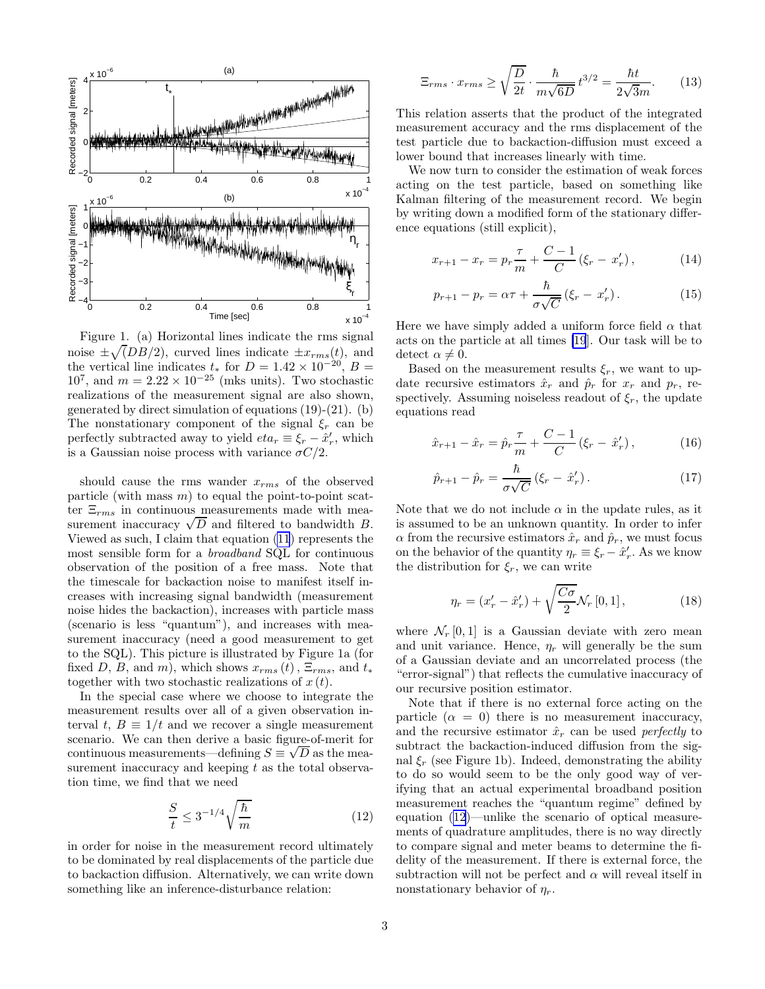

Figure 1. (a) Horizontal lines indicate the rms signal noise  $\pm \sqrt(DB/2)$ , curved lines indicate  $\pm x_{rms}(t)$ , and the vertical line indicates  $t_*$  for  $D = 1.42 \times 10^{-20}$ ,  $B =$  $10^7$ , and  $m = 2.22 \times 10^{-25}$  (mks units). Two stochastic realizations of the measurement signal are also shown, generated by direct simulation of equations (19)-(21). (b) The nonstationary component of the signal  $\xi_r$  can be perfectly subtracted away to yield  $eta_r \equiv \xi_r - \hat{x}'_r$ , which is a Gaussian noise process with variance  $\sigma C/2$ .

should cause the rms wander  $x_{rms}$  of the observed particle (with mass  $m$ ) to equal the point-to-point scatter  $\Xi_{rms}$  in continuous measurements made with measurement inaccuracy  $\sqrt{D}$  and filtered to bandwidth B. Viewed as such, I claim that equation [\(11](#page-1-0)) represents the most sensible form for a broadband SQL for continuous observation of the position of a free mass. Note that the timescale for backaction noise to manifest itself increases with increasing signal bandwidth (measurement noise hides the backaction), increases with particle mass (scenario is less "quantum"), and increases with measurement inaccuracy (need a good measurement to get to the SQL). This picture is illustrated by Figure 1a (for fixed D, B, and m), which shows  $x_{rms}(t)$ ,  $\Xi_{rms}$ , and  $t_{*}$ together with two stochastic realizations of  $x(t)$ .

In the special case where we choose to integrate the measurement results over all of a given observation interval t,  $B \equiv 1/t$  and we recover a single measurement scenario. We can then derive a basic figure-of-merit for continuous measurements—defining  $S \equiv \sqrt{D}$  as the measurement inaccuracy and keeping  $t$  as the total observation time, we find that we need

$$
\frac{S}{t} \le 3^{-1/4} \sqrt{\frac{\hbar}{m}}\tag{12}
$$

in order for noise in the measurement record ultimately to be dominated by real displacements of the particle due to backaction diffusion. Alternatively, we can write down something like an inference-disturbance relation:

$$
\Xi_{rms} \cdot x_{rms} \ge \sqrt{\frac{D}{2t}} \cdot \frac{\hbar}{m\sqrt{6D}} t^{3/2} = \frac{\hbar t}{2\sqrt{3}m}.
$$
 (13)

This relation asserts that the product of the integrated measurement accuracy and the rms displacement of the test particle due to backaction-diffusion must exceed a lower bound that increases linearly with time.

We now turn to consider the estimation of weak forces acting on the test particle, based on something like Kalman filtering of the measurement record. We begin by writing down a modified form of the stationary difference equations (still explicit),

$$
x_{r+1} - x_r = p_r \frac{\tau}{m} + \frac{C-1}{C} (\xi_r - x'_r), \qquad (14)
$$

$$
p_{r+1} - p_r = \alpha \tau + \frac{\hbar}{\sigma \sqrt{C}} (\xi_r - x'_r). \tag{15}
$$

Here we have simply added a uniform force field  $\alpha$  that acts on the particle at all times [\[19](#page-4-0)]. Our task will be to detect  $\alpha \neq 0$ .

Based on the measurement results  $\xi_r$ , we want to update recursive estimators  $\hat{x}_r$  and  $\hat{p}_r$  for  $x_r$  and  $p_r$ , respectively. Assuming noiseless readout of  $\xi_r$ , the update equations read

$$
\hat{x}_{r+1} - \hat{x}_r = \hat{p}_r \frac{\tau}{m} + \frac{C-1}{C} (\xi_r - \hat{x}'_r), \tag{16}
$$

$$
\hat{p}_{r+1} - \hat{p}_r = \frac{\hbar}{\sigma\sqrt{C}} (\xi_r - \hat{x}'_r). \tag{17}
$$

Note that we do not include  $\alpha$  in the update rules, as it is assumed to be an unknown quantity. In order to infer  $\alpha$  from the recursive estimators  $\hat{x}_r$  and  $\hat{p}_r$ , we must focus on the behavior of the quantity  $\eta_r \equiv \xi_r - \hat{x}'_r$ . As we know the distribution for  $\xi_r$ , we can write

$$
\eta_r = (x'_r - \hat{x}'_r) + \sqrt{\frac{C\sigma}{2}} \mathcal{N}_r [0, 1], \qquad (18)
$$

where  $\mathcal{N}_r[0,1]$  is a Gaussian deviate with zero mean and unit variance. Hence,  $\eta_r$  will generally be the sum of a Gaussian deviate and an uncorrelated process (the "error-signal") that reflects the cumulative inaccuracy of our recursive position estimator.

Note that if there is no external force acting on the particle  $(\alpha = 0)$  there is no measurement inaccuracy, and the recursive estimator  $\hat{x}_r$  can be used perfectly to subtract the backaction-induced diffusion from the signal  $\xi_r$  (see Figure 1b). Indeed, demonstrating the ability to do so would seem to be the only good way of verifying that an actual experimental broadband position measurement reaches the "quantum regime" defined by equation (12)—unlike the scenario of optical measurements of quadrature amplitudes, there is no way directly to compare signal and meter beams to determine the fidelity of the measurement. If there is external force, the subtraction will not be perfect and  $\alpha$  will reveal itself in nonstationary behavior of  $\eta_r$ .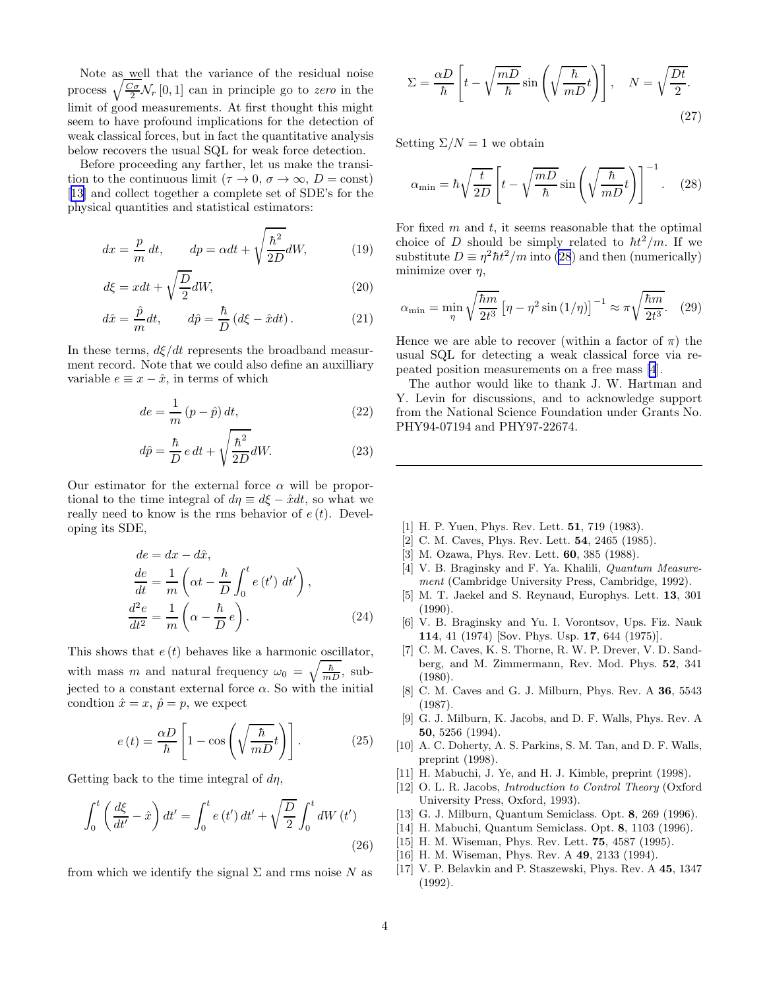<span id="page-3-0"></span>Note as well that the variance of the residual noise process  $\sqrt{\frac{C_{\sigma}}{2}}\mathcal{N}_r$  [0, 1] can in principle go to *zero* in the limit of good measurements. At first thought this might seem to have profound implications for the detection of weak classical forces, but in fact the quantitative analysis below recovers the usual SQL for weak force detection.

Before proceeding any farther, let us make the transition to the continuous limit ( $\tau \to 0$ ,  $\sigma \to \infty$ ,  $D = \text{const}$ ) [13] and collect together a complete set of SDE's for the physical quantities and statistical estimators:

$$
dx = \frac{p}{m} dt, \qquad dp = \alpha dt + \sqrt{\frac{\hbar^2}{2D}} dW,
$$
 (19)

$$
d\xi = xdt + \sqrt{\frac{D}{2}}dW,
$$
\n(20)

$$
d\hat{x} = \frac{\hat{p}}{m}dt, \qquad d\hat{p} = \frac{\hbar}{D} \left( d\xi - \hat{x}dt \right). \tag{21}
$$

In these terms,  $d\xi/dt$  represents the broadband measurment record. Note that we could also define an auxilliary variable  $e \equiv x - \hat{x}$ , in terms of which

$$
de = \frac{1}{m} (p - \hat{p}) dt,
$$
\n(22)

$$
d\hat{p} = \frac{\hbar}{D} e dt + \sqrt{\frac{\hbar^2}{2D}} dW.
$$
 (23)

Our estimator for the external force  $\alpha$  will be proportional to the time integral of  $d\eta \equiv d\xi - \hat{x}dt$ , so what we really need to know is the rms behavior of  $e(t)$ . Developing its SDE,

$$
de = dx - d\hat{x},
$$
  
\n
$$
\frac{de}{dt} = \frac{1}{m} \left( \alpha t - \frac{\hbar}{D} \int_0^t e(t') dt' \right),
$$
  
\n
$$
\frac{d^2e}{dt^2} = \frac{1}{m} \left( \alpha - \frac{\hbar}{D} e \right).
$$
\n(24)

This shows that  $e(t)$  behaves like a harmonic oscillator, with mass m and natural frequency  $\omega_0 = \sqrt{\frac{\hbar}{mD}}$ , subjected to a constant external force  $\alpha$ . So with the initial condtion  $\hat{x} = x, \hat{p} = p$ , we expect

$$
e(t) = \frac{\alpha D}{\hbar} \left[ 1 - \cos\left(\sqrt{\frac{\hbar}{mD}}t\right) \right].
$$
 (25)

Getting back to the time integral of  $d\eta$ ,

$$
\int_0^t \left(\frac{d\xi}{dt'} - \hat{x}\right) dt' = \int_0^t e(t') dt' + \sqrt{\frac{D}{2}} \int_0^t dW(t')
$$
\n(26)

from which we identify the signal  $\Sigma$  and rms noise N as

$$
\Sigma = \frac{\alpha D}{\hbar} \left[ t - \sqrt{\frac{mD}{\hbar}} \sin \left( \sqrt{\frac{\hbar}{mD}} t \right) \right], \quad N = \sqrt{\frac{Dt}{2}}.
$$
\n(27)

Setting  $\Sigma/N = 1$  we obtain

$$
\alpha_{\min} = \hbar \sqrt{\frac{t}{2D}} \left[ t - \sqrt{\frac{mD}{\hbar}} \sin \left( \sqrt{\frac{\hbar}{mD}} t \right) \right]^{-1} . \quad (28)
$$

For fixed  $m$  and  $t$ , it seems reasonable that the optimal choice of D should be simply related to  $\hbar t^2/m$ . If we substitute  $D \equiv \eta^2 \hbar t^2 / m$  into (28) and then (numerically) minimize over  $\eta$ ,

$$
\alpha_{\min} = \min_{\eta} \sqrt{\frac{\hbar m}{2t^3}} \left[ \eta - \eta^2 \sin\left(\frac{1}{\eta}\right) \right]^{-1} \approx \pi \sqrt{\frac{\hbar m}{2t^3}}. \tag{29}
$$

Hence we are able to recover (within a factor of  $\pi$ ) the usual SQL for detecting a weak classical force via repeated position measurements on a free mass [4].

The author would like to thank J. W. Hartman and Y. Levin for discussions, and to acknowledge support from the National Science Foundation under Grants No. PHY94-07194 and PHY97-22674.

- [1] H. P. Yuen, Phys. Rev. Lett. 51, 719 (1983).
- [2] C. M. Caves, Phys. Rev. Lett. 54, 2465 (1985).
- [3] M. Ozawa, Phys. Rev. Lett. **60**, 385 (1988).
- [4] V. B. Braginsky and F. Ya. Khalili, *Quantum Measure*ment (Cambridge University Press, Cambridge, 1992).
- [5] M. T. Jaekel and S. Reynaud, Europhys. Lett. 13, 301 (1990).
- [6] V. B. Braginsky and Yu. I. Vorontsov, Ups. Fiz. Nauk 114, 41 (1974) [Sov. Phys. Usp. 17, 644 (1975)].
- [7] C. M. Caves, K. S. Thorne, R. W. P. Drever, V. D. Sandberg, and M. Zimmermann, Rev. Mod. Phys. 52, 341 (1980).
- [8] C. M. Caves and G. J. Milburn, Phys. Rev. A 36, 5543 (1987).
- [9] G. J. Milburn, K. Jacobs, and D. F. Walls, Phys. Rev. A 50, 5256 (1994).
- [10] A. C. Doherty, A. S. Parkins, S. M. Tan, and D. F. Walls, preprint (1998).
- [11] H. Mabuchi, J. Ye, and H. J. Kimble, preprint (1998).
- [12] O. L. R. Jacobs, Introduction to Control Theory (Oxford University Press, Oxford, 1993).
- [13] G. J. Milburn, Quantum Semiclass. Opt. 8, 269 (1996).
- [14] H. Mabuchi, Quantum Semiclass. Opt. 8, 1103 (1996).
- [15] H. M. Wiseman, Phys. Rev. Lett. **75**, 4587 (1995).
- [16] H. M. Wiseman, Phys. Rev. A 49, 2133 (1994).
- [17] V. P. Belavkin and P. Staszewski, Phys. Rev. A 45, 1347 (1992).